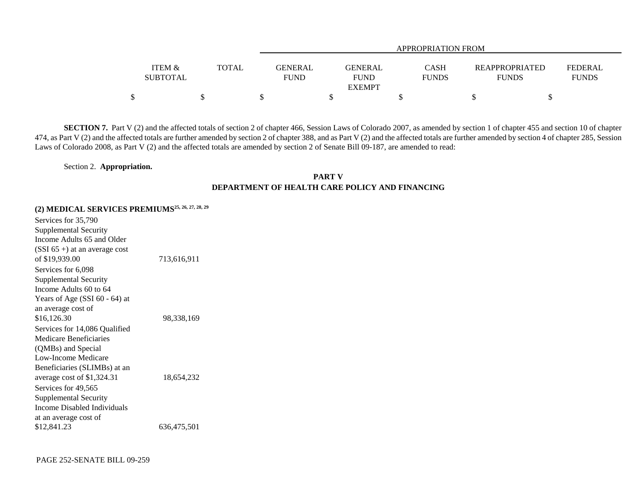|                   | APPROPRIATION FROM |             |                |              |                |              |  |  |
|-------------------|--------------------|-------------|----------------|--------------|----------------|--------------|--|--|
| <b>ITEM &amp;</b> | <b>TOTAL</b>       | GENERAL     | <b>GENERAL</b> | <b>CASH</b>  | REAPPROPRIATED | FEDERAL      |  |  |
| <b>SUBTOTAL</b>   |                    | <b>FUND</b> | <b>FUND</b>    | <b>FUNDS</b> | <b>FUNDS</b>   | <b>FUNDS</b> |  |  |
|                   |                    |             | <b>EXEMPT</b>  |              |                |              |  |  |
| ¢                 |                    |             |                |              |                |              |  |  |

**SECTION 7.** Part V (2) and the affected totals of section 2 of chapter 466, Session Laws of Colorado 2007, as amended by section 1 of chapter 455 and section 10 of chapter 474, as Part V (2) and the affected totals are further amended by section 2 of chapter 388, and as Part V (2) and the affected totals are further amended by section 4 of chapter 285, Session Laws of Colorado 2008, as Part V (2) and the affected totals are amended by section 2 of Senate Bill 09-187, are amended to read:

Section 2. **Appropriation.**

## **PART VDEPARTMENT OF HEALTH CARE POLICY AND FINANCING**

## **(2) MEDICAL SERVICES PREMIUMS25, 26, 27, 28, 29**

| Services for 35,790<br>Supplemental Security<br>Income Adults 65 and Older<br>$(SSI 65+)$ at an average cost                         |             |
|--------------------------------------------------------------------------------------------------------------------------------------|-------------|
| of \$19,939.00                                                                                                                       | 713,616,911 |
| Services for 6,098<br>Supplemental Security<br>Income Adults 60 to 64<br>Years of Age (SSI $60 - 64$ ) at<br>an average cost of      |             |
| \$16,126.30                                                                                                                          | 98,338,169  |
| Services for 14,086 Qualified<br>Medicare Reneficiaries<br>(QMBs) and Special<br>Low-Income Medicare<br>Beneficiaries (SLIMBs) at an |             |
| average cost of \$1,324.31<br>Services for 49,565                                                                                    | 18,654,232  |
| Supplemental Security<br>Income Disabled Individuals<br>at an average cost of                                                        |             |
| \$12,841.23                                                                                                                          | 636,475,501 |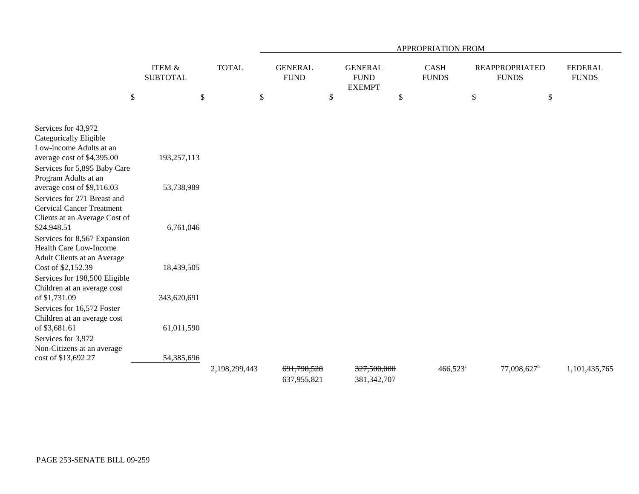|                                                                                                                                                        |                                      |               | APPROPRIATION FROM |                               |    |                                                |                             |                   |                                       |                         |                                |
|--------------------------------------------------------------------------------------------------------------------------------------------------------|--------------------------------------|---------------|--------------------|-------------------------------|----|------------------------------------------------|-----------------------------|-------------------|---------------------------------------|-------------------------|--------------------------------|
|                                                                                                                                                        | <b>ITEM &amp;</b><br><b>SUBTOTAL</b> | <b>TOTAL</b>  |                    | <b>GENERAL</b><br><b>FUND</b> |    | <b>GENERAL</b><br><b>FUND</b><br><b>EXEMPT</b> | <b>CASH</b><br><b>FUNDS</b> |                   | <b>REAPPROPRIATED</b><br><b>FUNDS</b> |                         | <b>FEDERAL</b><br><b>FUNDS</b> |
| $\$$                                                                                                                                                   | $\$$                                 |               | \$                 |                               | \$ |                                                | $\$$                        |                   | \$                                    | $\$$                    |                                |
| Services for 43,972<br>Categorically Eligible<br>Low-income Adults at an<br>average cost of \$4,395.00<br>Services for 5,895 Baby Care                 | 193,257,113                          |               |                    |                               |    |                                                |                             |                   |                                       |                         |                                |
| Program Adults at an<br>average cost of \$9,116.03<br>Services for 271 Breast and<br><b>Cervical Cancer Treatment</b><br>Clients at an Average Cost of | 53,738,989                           |               |                    |                               |    |                                                |                             |                   |                                       |                         |                                |
| \$24,948.51<br>Services for 8,567 Expansion<br>Health Care Low-Income<br>Adult Clients at an Average                                                   | 6,761,046                            |               |                    |                               |    |                                                |                             |                   |                                       |                         |                                |
| Cost of \$2,152.39<br>Services for 198,500 Eligible<br>Children at an average cost                                                                     | 18,439,505                           |               |                    |                               |    |                                                |                             |                   |                                       |                         |                                |
| of \$1,731.09<br>Services for 16,572 Foster<br>Children at an average cost                                                                             | 343,620,691                          |               |                    |                               |    |                                                |                             |                   |                                       |                         |                                |
| of \$3,681.61<br>Services for 3,972<br>Non-Citizens at an average                                                                                      | 61,011,590                           |               |                    |                               |    |                                                |                             |                   |                                       |                         |                                |
| cost of \$13,692.27                                                                                                                                    | 54,385,696                           | 2,198,299,443 |                    | 691,798,528<br>637,955,821    |    | 327,500,000<br>381, 342, 707                   |                             | $466,523^{\circ}$ |                                       | 77,098,627 <sup>b</sup> | 1,101,435,765                  |